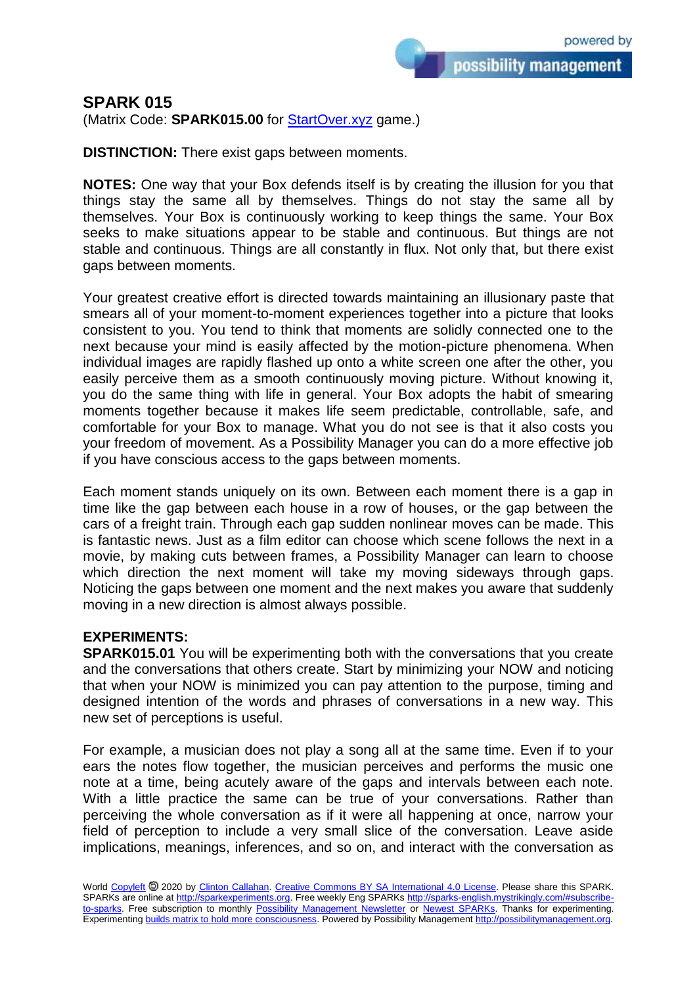possibility management

## **SPARK 015**

(Matrix Code: **SPARK015.00** for **StartOver.xyz** game.)

**DISTINCTION:** There exist gaps between moments.

**NOTES:** One way that your Box defends itself is by creating the illusion for you that things stay the same all by themselves. Things do not stay the same all by themselves. Your Box is continuously working to keep things the same. Your Box seeks to make situations appear to be stable and continuous. But things are not stable and continuous. Things are all constantly in flux. Not only that, but there exist gaps between moments.

Your greatest creative effort is directed towards maintaining an illusionary paste that smears all of your moment-to-moment experiences together into a picture that looks consistent to you. You tend to think that moments are solidly connected one to the next because your mind is easily affected by the motion-picture phenomena. When individual images are rapidly flashed up onto a white screen one after the other, you easily perceive them as a smooth continuously moving picture. Without knowing it, you do the same thing with life in general. Your Box adopts the habit of smearing moments together because it makes life seem predictable, controllable, safe, and comfortable for your Box to manage. What you do not see is that it also costs you your freedom of movement. As a Possibility Manager you can do a more effective job if you have conscious access to the gaps between moments.

Each moment stands uniquely on its own. Between each moment there is a gap in time like the gap between each house in a row of houses, or the gap between the cars of a freight train. Through each gap sudden nonlinear moves can be made. This is fantastic news. Just as a film editor can choose which scene follows the next in a movie, by making cuts between frames, a Possibility Manager can learn to choose which direction the next moment will take my moving sideways through gaps. Noticing the gaps between one moment and the next makes you aware that suddenly moving in a new direction is almost always possible.

## **EXPERIMENTS:**

**SPARK015.01** You will be experimenting both with the conversations that you create and the conversations that others create. Start by minimizing your NOW and noticing that when your NOW is minimized you can pay attention to the purpose, timing and designed intention of the words and phrases of conversations in a new way. This new set of perceptions is useful.

For example, a musician does not play a song all at the same time. Even if to your ears the notes flow together, the musician perceives and performs the music one note at a time, being acutely aware of the gaps and intervals between each note. With a little practice the same can be true of your conversations. Rather than perceiving the whole conversation as if it were all happening at once, narrow your field of perception to include a very small slice of the conversation. Leave aside implications, meanings, inferences, and so on, and interact with the conversation as